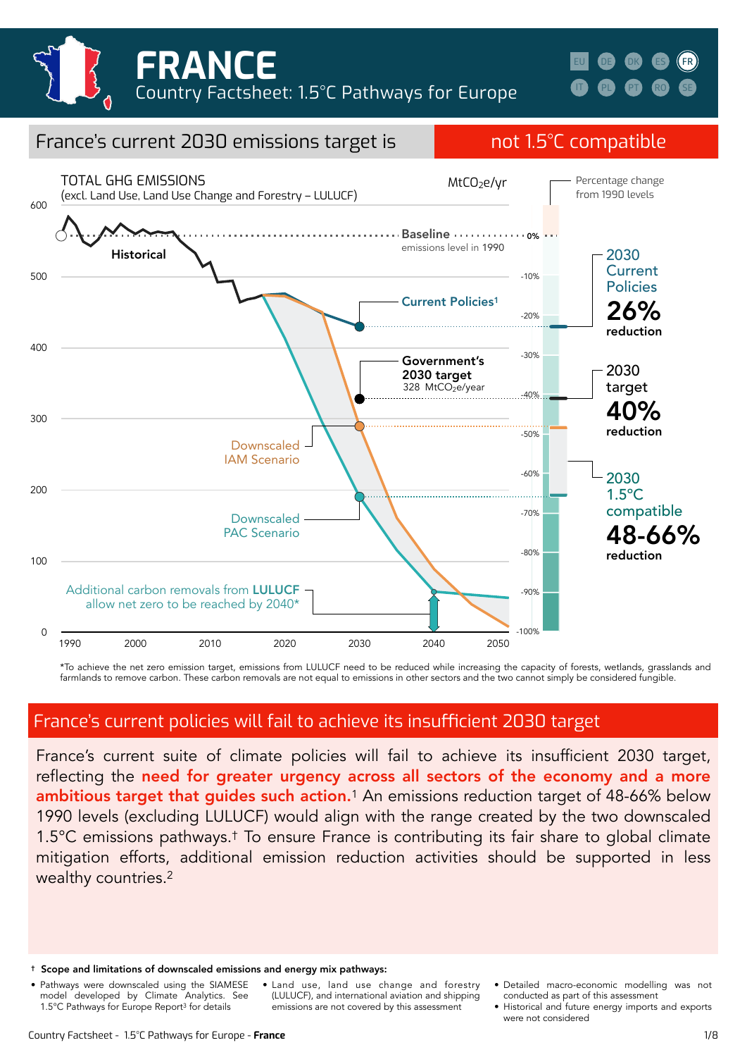





\*To achieve the net zero emission target, emissions from LULUCF need to be reduced while increasing the capacity of forests, wetlands, grasslands and farmlands to remove carbon. These carbon removals are not equal to emissions in other sectors and the two cannot simply be considered fungible.

# France's current policies will fail to achieve its insufficient 2030 target

France's current suite of climate policies will fail to achieve its insufficient 2030 target, reflecting the need for greater urgency across all sectors of the economy and a more ambitious target that guides such action.<sup>1</sup> An emissions reduction target of 48-66% below 1990 levels (excluding LULUCF) would align with the range created by the two downscaled 1.5°C emissions pathways.† To ensure France is contributing its fair share to global climate mitigation efforts, additional emission reduction activities should be supported in less wealthy countries.2

- † Scope and limitations of downscaled emissions and energy mix pathways:
- Pathways were downscaled using the SIAMESE model developed by Climate Analytics. See 1.5°C Pathways for Europe Report3 for details
- Land use, land use change and forestry (LULUCF), and international aviation and shipping emissions are not covered by this assessment
- Detailed macro-economic modelling was not conducted as part of this assessment
- Historical and future energy imports and exports were not considered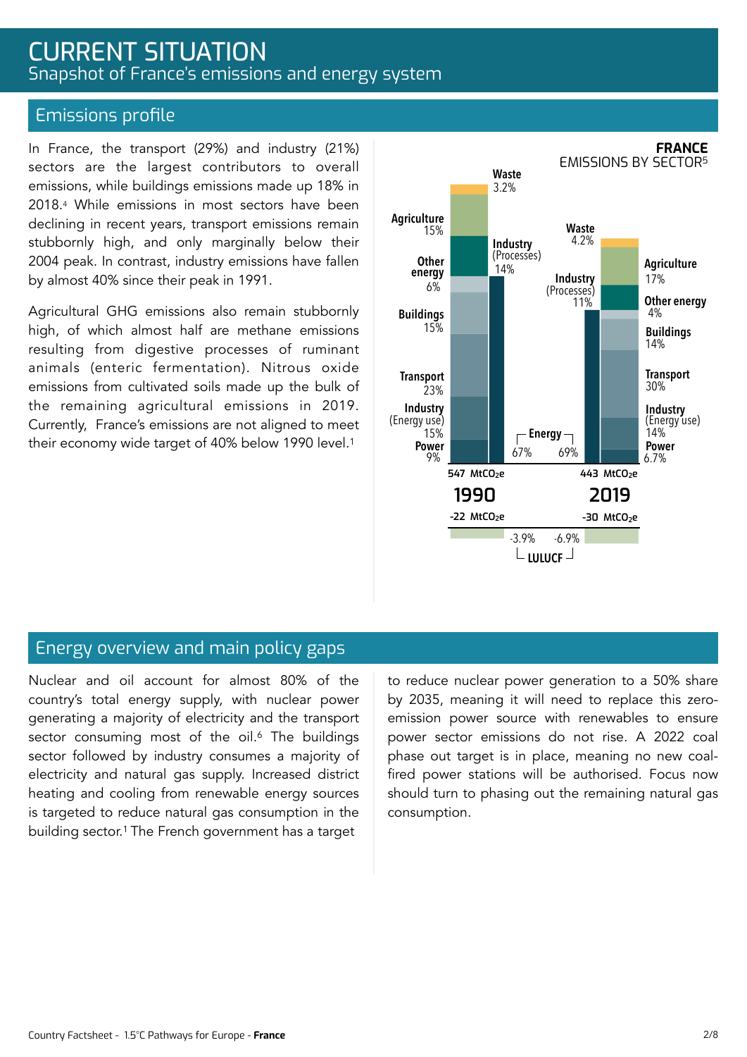# CURRENT SITUATION Snapshot of France's emissions and energy system

### Emissions profile

In France, the transport (29%) and industry (21%) sectors are the largest contributors to overall emissions, while buildings emissions made up 18% in 2018.4 While emissions in most sectors have been declining in recent years, transport emissions remain stubbornly high, and only marginally below their 2004 peak. In contrast, industry emissions have fallen by almost 40% since their peak in 1991.

Agricultural GHG emissions also remain stubbornly high, of which almost half are methane emissions resulting from digestive processes of ruminant animals (enteric fermentation). Nitrous oxide emissions from cultivated soils made up the bulk of the remaining agricultural emissions in 2019. Currently, France's emissions are not aligned to meet their economy wide target of 40% below 1990 level.1



### Energy overview and main policy gaps

Nuclear and oil account for almost 80% of the country's total energy supply, with nuclear power generating a majority of electricity and the transport sector consuming most of the oil.<sup>6</sup> The buildings sector followed by industry consumes a majority of electricity and natural gas supply. Increased district heating and cooling from renewable energy sources is targeted to reduce natural gas consumption in the building sector.1 The French government has a target

to reduce nuclear power generation to a 50% share by 2035, meaning it will need to replace this zeroemission power source with renewables to ensure power sector emissions do not rise. A 2022 coal phase out target is in place, meaning no new coalfired power stations will be authorised. Focus now should turn to phasing out the remaining natural gas consumption.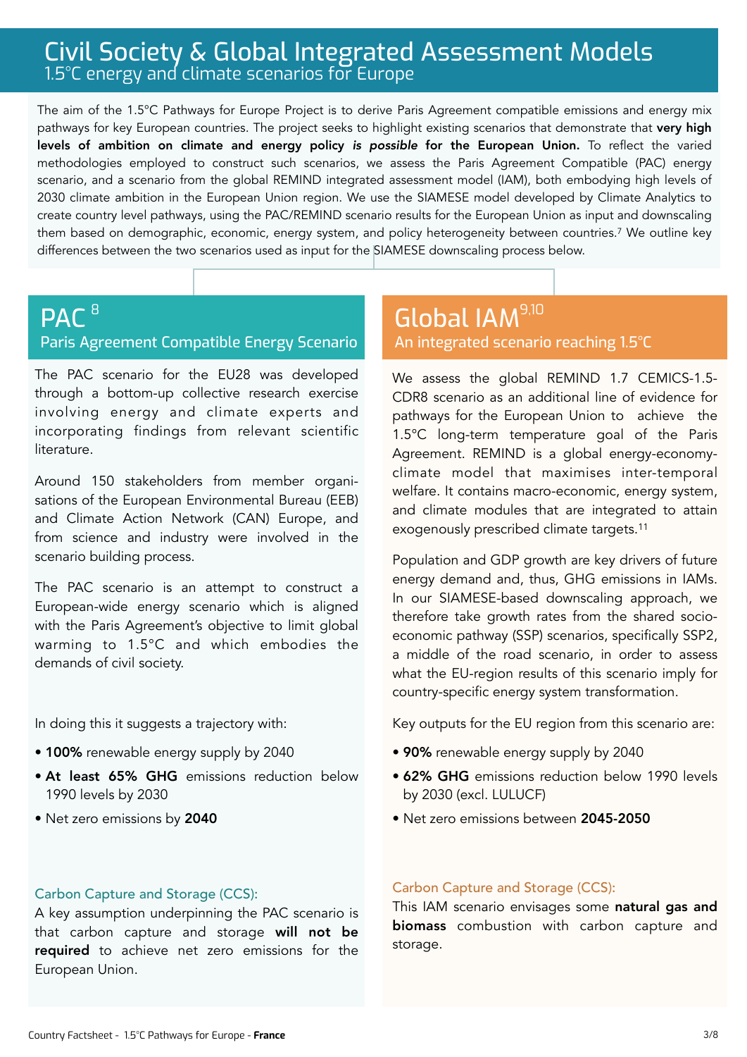# Civil Society & Global Integrated Assessment Models 1.5°C energy and climate scenarios for Europe

The aim of the 1.5°C Pathways for Europe Project is to derive Paris Agreement compatible emissions and energy mix pathways for key European countries. The project seeks to highlight existing scenarios that demonstrate that very high levels of ambition on climate and energy policy *is possible* for the European Union. To reflect the varied methodologies employed to construct such scenarios, we assess the Paris Agreement Compatible (PAC) energy scenario, and a scenario from the global REMIND integrated assessment model (IAM), both embodying high levels of 2030 climate ambition in the European Union region. We use the SIAMESE model developed by Climate Analytics to create country level pathways, using the PAC/REMIND scenario results for the European Union as input and downscaling them based on demographic, economic, energy system, and policy heterogeneity between countries.7 We outline key differences between the two scenarios used as input for the SIAMESE downscaling process below.

#### PAC<sup>8</sup> Paris Agreement Compatible Energy Scenario 8 9,100 Million December 1988 1990 Million December 1990 Million December 1990 Million December 1990 Million D

The PAC scenario for the EU28 was developed through a bottom-up collective research exercise involving energy and climate experts and incorporating findings from relevant scientific literature.

Around 150 stakeholders from member organisations of the European Environmental Bureau (EEB) and Climate Action Network (CAN) Europe, and from science and industry were involved in the scenario building process.

The PAC scenario is an attempt to construct a European-wide energy scenario which is aligned with the Paris Agreement's objective to limit global warming to 1.5°C and which embodies the demands of civil society.

In doing this it suggests a trajectory with:

- 100% renewable energy supply by 2040
- At least 65% GHG emissions reduction below 1990 levels by 2030
- Net zero emissions by 2040

# An integrated scenario reaching 1.5°C

We assess the global REMIND 1.7 CEMICS-1.5- CDR8 scenario as an additional line of evidence for pathways for the European Union to achieve the 1.5°C long-term temperature goal of the Paris Agreement. REMIND is a global energy-economyclimate model that maximises inter-temporal welfare. It contains macro-economic, energy system, and climate modules that are integrated to attain exogenously prescribed climate targets.11

Population and GDP growth are key drivers of future energy demand and, thus, GHG emissions in IAMs. In our SIAMESE-based downscaling approach, we therefore take growth rates from the shared socioeconomic pathway (SSP) scenarios, specifically SSP2, a middle of the road scenario, in order to assess what the EU-region results of this scenario imply for country-specific energy system transformation.

Key outputs for the EU region from this scenario are:

- 90% renewable energy supply by 2040
- 62% GHG emissions reduction below 1990 levels by 2030 (excl. LULUCF)
- Net zero emissions between 2045-2050

### Carbon Capture and Storage (CCS):

A key assumption underpinning the PAC scenario is that carbon capture and storage will not be required to achieve net zero emissions for the European Union.

#### Carbon Capture and Storage (CCS):

This IAM scenario envisages some natural gas and biomass combustion with carbon capture and storage.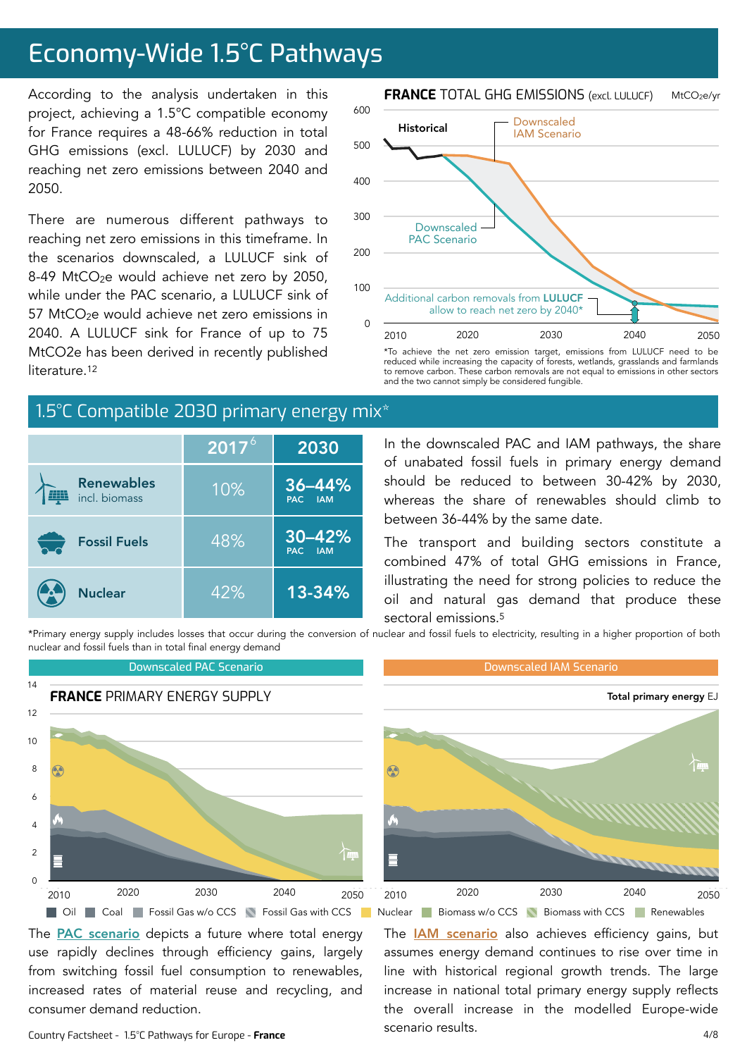# Economy-Wide 1.5°C Pathways

According to the analysis undertaken in this project, achieving a 1.5°C compatible economy for France requires a 48-66% reduction in total GHG emissions (excl. LULUCF) by 2030 and reaching net zero emissions between 2040 and 2050.

There are numerous different pathways to reaching net zero emissions in this timeframe. In the scenarios downscaled, a LULUCF sink of 8-49 MtCO<sub>2</sub>e would achieve net zero by 2050, while under the PAC scenario, a LULUCF sink of 57 MtCO $2e$  would achieve net zero emissions in 2040. A LULUCF sink for France of up to 75 MtCO2e has been derived in recently published literature<sup>12</sup>

# 1.5°C Compatible 2030 primary energy mix<sup>\*</sup>

|                                    | $\overline{2017}^6$ | 2030                  |  |
|------------------------------------|---------------------|-----------------------|--|
| <b>Renewables</b><br>incl. biomass | 10%                 | $36 - 44%$<br>PAC IAM |  |
| <b>Fossil Fuels</b>                | 48%                 | 30-42%<br>PAC IAM     |  |
| <b>Nuclear</b>                     | 42%                 | 13-34%                |  |

**FRANCE** TOTAL GHG EMISSIONS (excl. LULUCF) MtCO2e/yr



\*To achieve the net zero emission target, emissions from LULUCF need to be reduced while increasing the capacity of forests, wetlands, grasslands and farmlands to remove carbon. These carbon removals are not equal to emissions in other sectors and the two cannot simply be considered fungible.

In the downscaled PAC and IAM pathways, the share of unabated fossil fuels in primary energy demand should be reduced to between 30-42% by 2030, whereas the share of renewables should climb to between 36-44% by the same date.

The transport and building sectors constitute a combined 47% of total GHG emissions in France, illustrating the need for strong policies to reduce the oil and natural gas demand that produce these sectoral emissions.5

The **[IAM scenario](https://www.pik-potsdam.de/en/institute/departments/transformation-pathways/models/remind/remind16_description_2015_11_30_final#:~:text=REMIND%20is%20a%20global%20energy,inter-temporal%20welfare%20is%20maximized.&text=Macro-economic%20production%20factors%20are,,%20labor,%20and%20final%20energy.)** also achieves efficiency gains, but assumes energy demand continues to rise over time in line with historical regional growth trends. The large increase in national total primary energy supply reflects

\*Primary energy supply includes losses that occur during the conversion of nuclear and fossil fuels to electricity, resulting in a higher proportion of both nuclear and fossil fuels than in total final energy demand



scenario results.

The **PAC** scenario depicts a future where total energy use rapidly declines through efficiency gains, largely from switching fossil fuel consumption to renewables, increased rates of material reuse and recycling, and consumer demand reduction.

Country Factsheet - 1.5°C Pathways for Europe - **France**

4/8 the overall increase in the modelled Europe-wide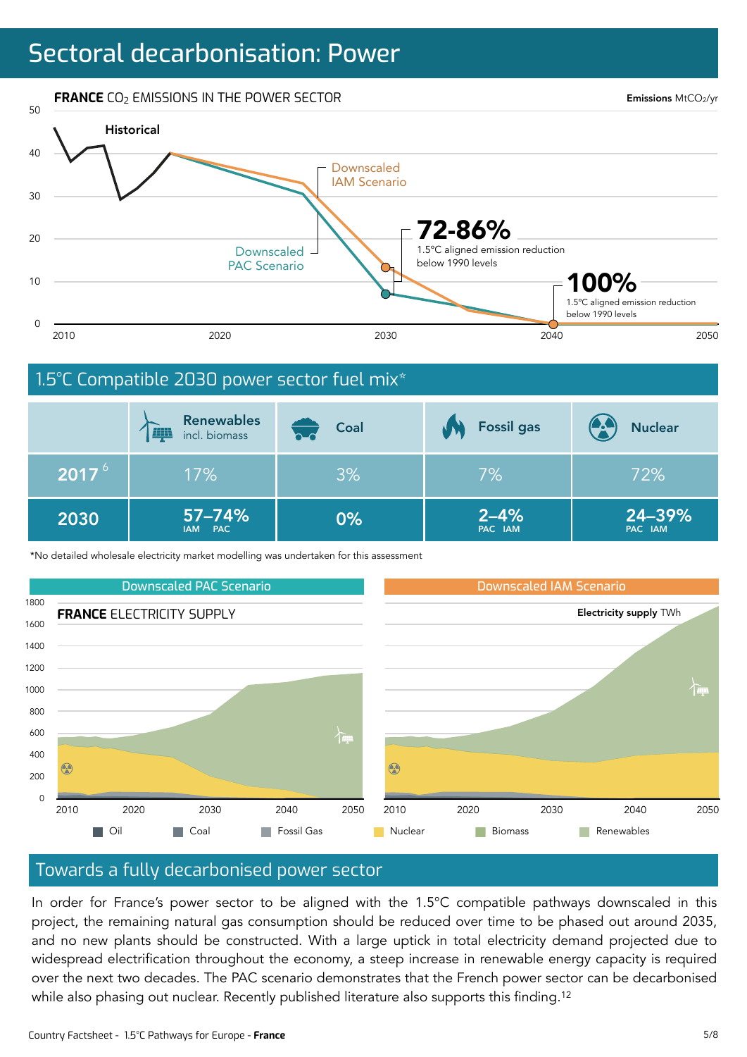# Sectoral decarbonisation: Power

**FRANCE** CO<sub>2</sub> EMISSIONS IN THE POWER SECTOR

Emissions MtCO2/yr



### 1.5°C Compatible 2030 power sector fuel mix\*

|                   | <b>Renewables</b><br><b>FILL</b><br>incl. biomass | Coal | <b>Fossil gas</b>   | <b>Nuclear</b>    |
|-------------------|---------------------------------------------------|------|---------------------|-------------------|
| 2017 <sup>6</sup> | 17%                                               | 3%   | 7%                  | 72%               |
| 2030              | $57 - 74%$<br>IAM PAC                             | 0%   | $2 - 4%$<br>PAC IAM | 24-39%<br>PAC IAM |

\*No detailed wholesale electricity market modelling was undertaken for this assessment



### Towards a fully decarbonised power sector

In order for France's power sector to be aligned with the 1.5°C compatible pathways downscaled in this project, the remaining natural gas consumption should be reduced over time to be phased out around 2035, and no new plants should be constructed. With a large uptick in total electricity demand projected due to widespread electrification throughout the economy, a steep increase in renewable energy capacity is required over the next two decades. The PAC scenario demonstrates that the French power sector can be decarbonised while also phasing out nuclear. Recently published literature also supports this finding.<sup>12</sup>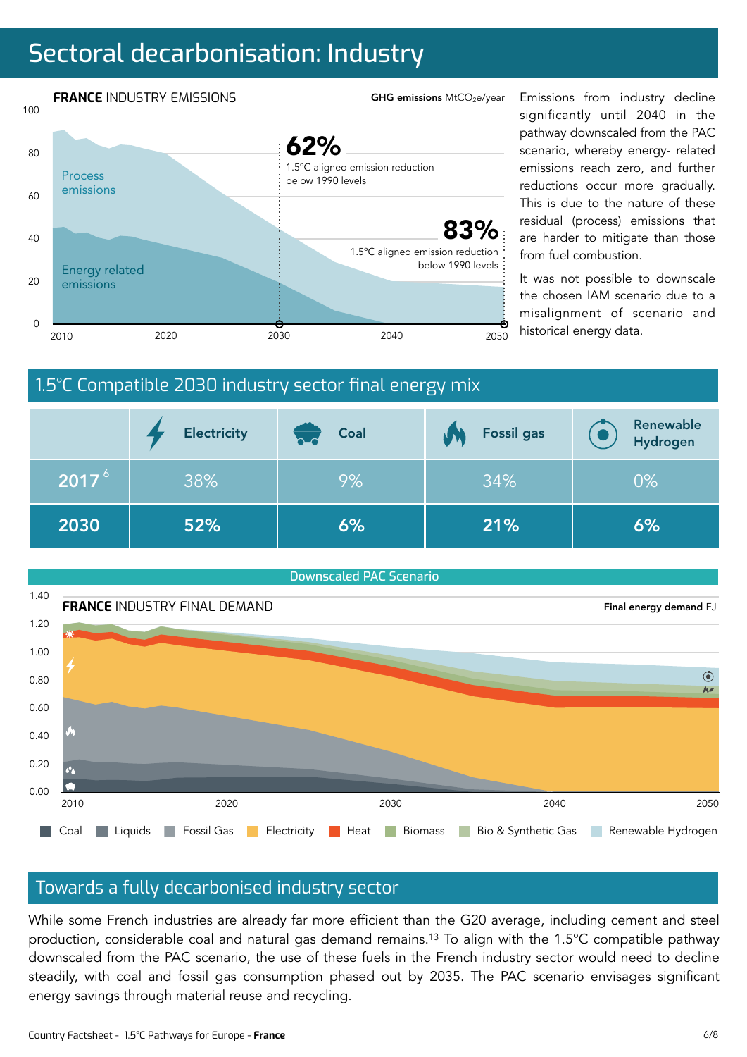# Sectoral decarbonisation: Industry



significantly until 2040 in the pathway downscaled from the PAC scenario, whereby energy- related emissions reach zero, and further reductions occur more gradually. This is due to the nature of these residual (process) emissions that are harder to mitigate than those from fuel combustion.

It was not possible to downscale the chosen IAM scenario due to a misalignment of scenario and

# 1.5°C Compatible 2030 industry sector final energy mix

|                   | <b>Electricity</b> | Coal<br>n d | <b>Fossil gas</b> | Renewable<br>Hydrogen |
|-------------------|--------------------|-------------|-------------------|-----------------------|
| 2017 <sup>6</sup> | 38%                | 9%          | 34%               | $0\%$                 |
| 2030              | 52%                | 6%          | 21%               | 6%                    |



### Towards a fully decarbonised industry sector

While some French industries are already far more efficient than the G20 average, including cement and steel production, considerable coal and natural gas demand remains.13 To align with the 1.5°C compatible pathway downscaled from the PAC scenario, the use of these fuels in the French industry sector would need to decline steadily, with coal and fossil gas consumption phased out by 2035. The PAC scenario envisages significant energy savings through material reuse and recycling.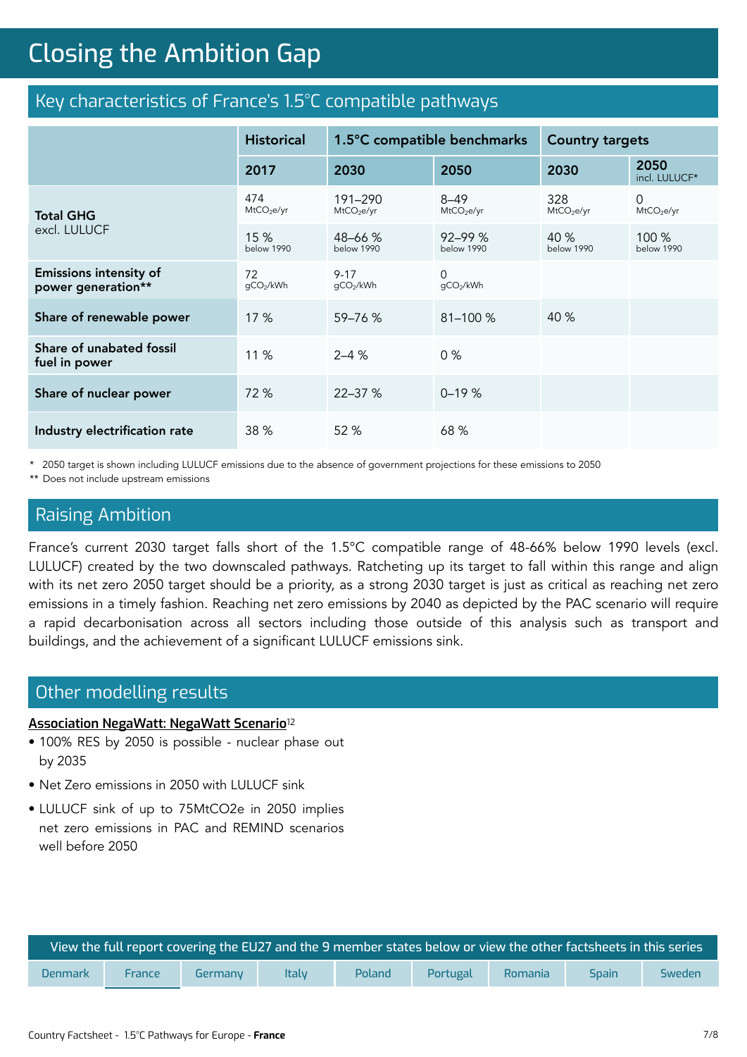# **Closing the Ambition Gap** Closing the Ambition Gap

### Key characteristics of France's 1.5°C compatible pathways

|                                                     | <b>Historical</b>             | 1.5°C compatible benchmarks       |                                    | <b>Country targets</b>        |                             |
|-----------------------------------------------------|-------------------------------|-----------------------------------|------------------------------------|-------------------------------|-----------------------------|
|                                                     | 2017                          | 2030                              | 2050                               | 2030                          | 2050<br>incl. LULUCF*       |
| Total GHG<br>excl. LULUCF                           | 474<br>MtCO <sub>2</sub> e/yr | 191-290<br>MtCO <sub>2</sub> e/yr | $8 - 49$<br>MtCO <sub>2</sub> e/yr | 328<br>MtCO <sub>2</sub> e/yr | 0<br>MtCO <sub>2</sub> e/yr |
|                                                     | 15%<br><b>below 1990</b>      | 48-66 %<br>below 1990             | $92 - 99%$<br>below 1990           | 40 %<br>below 1990            | 100 %<br>below 1990         |
| <b>Emissions intensity of</b><br>power generation** | 72<br>gCO2/kWh                | $9 - 17$<br>qCO2/kWh              | $\Omega$<br>gCO2/kWh               |                               |                             |
| Share of renewable power                            | 17%                           | $59 - 76$ %                       | $81 - 100 %$                       | 40 %                          |                             |
| Share of unabated fossil<br>fuel in power           | 11 %                          | $2 - 4 %$                         | 0%                                 |                               |                             |
| Share of nuclear power                              | 72 %                          | $22 - 37%$                        | $0 - 19%$                          |                               |                             |
| Industry electrification rate                       | 38 %                          | 52 %                              | 68 %                               |                               |                             |

\* 2050 target is shown including LULUCF emissions due to the absence of government projections for these emissions to 2050

\*\* Does not include upstream emissions

### Raising Ambition

France's current 2030 target falls short of the 1.5°C compatible range of 48-66% below 1990 levels (excl. LULUCF) created by the two downscaled pathways. Ratcheting up its target to fall within this range and align with its net zero 2050 target should be a priority, as a strong 2030 target is just as critical as reaching net zero emissions in a timely fashion. Reaching net zero emissions by 2040 as depicted by the PAC scenario will require a rapid decarbonisation across all sectors including those outside of this analysis such as transport and buildings, and the achievement of a significant LULUCF emissions sink.

### Other modelling results

#### **[Association NegaWatt: NegaWatt Scenario](https://negawatt.org/The-negaWatt-2050-energy-scenario)**<sup>12</sup>

- 100% RES by 2050 is possible nuclear phase out by 2035
- Net Zero emissions in 2050 with LULUCF sink
- LULUCF sink of up to 75MtCO2e in 2050 implies net zero emissions in PAC and REMIND scenarios well before 2050

| View the full report covering the EU27 and the 9 member states below or view the other factsheets in this series |        |         |              |        |          |         |              |        |
|------------------------------------------------------------------------------------------------------------------|--------|---------|--------------|--------|----------|---------|--------------|--------|
| <b>Denmark</b>                                                                                                   | France | Germany | <b>Italy</b> | Poland | Portugal | Romania | <b>Spain</b> | Sweden |